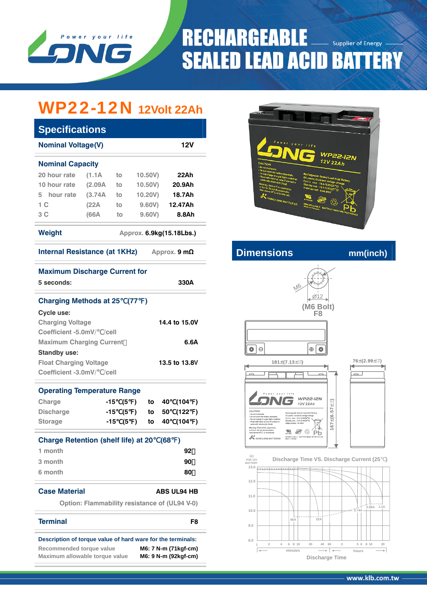

## **RECHARGEABLE Supplier of Energy SEALED LEAD ACID BATTERY**

# WP22-12N **12Volt 22Ah**

| <b>Specifications</b>                                       |                                                                             |            |            |               |     |                    |               |  |  |
|-------------------------------------------------------------|-----------------------------------------------------------------------------|------------|------------|---------------|-----|--------------------|---------------|--|--|
| <b>Nominal Voltage(V)</b><br><b>12V</b>                     |                                                                             |            |            |               |     |                    |               |  |  |
| <b>Nominal Capacity</b>                                     |                                                                             |            |            |               |     |                    |               |  |  |
| 20 hour rate                                                | (1.1A)                                                                      | to         | $10.50V$ ) |               |     | 22Ah               |               |  |  |
| 10 hour rate                                                | (2.09A)                                                                     | to         | 10.50V)    |               |     | 20.9Ah             |               |  |  |
| 5 hour rate                                                 | (3.74A)                                                                     | to         |            | 10.20V)       |     | 18.7Ah             |               |  |  |
| 1C                                                          | (22A)                                                                       | to         |            | 9.60V)        |     | 12.47Ah            |               |  |  |
| 3 C                                                         | (66A                                                                        | to         | 9.60V)     |               |     | 8.8Ah              |               |  |  |
| <b>Weight</b><br>Approx. 6.9kg(15.18Lbs.)                   |                                                                             |            |            |               |     |                    |               |  |  |
| Internal Resistance (at 1KHz)<br>Approx. $9 \text{ mA}$     |                                                                             |            |            |               |     |                    |               |  |  |
| <b>Maximum Discharge Current for</b><br>5 seconds:          |                                                                             |            |            |               |     | 330A               |               |  |  |
| <b>Charging Methods at 25</b><br>Cycle use:                 |                                                                             |            | (77        | $\rightarrow$ |     |                    |               |  |  |
| <b>Charging Voltage</b><br>14.4 to 15.0V                    |                                                                             |            |            |               |     |                    |               |  |  |
| Coefficient -5.0mV/ /cell                                   |                                                                             |            |            |               |     |                    |               |  |  |
| <b>Maximum Charging Current</b>                             |                                                                             |            |            |               |     | 6.6A               |               |  |  |
| <b>Standby use:</b>                                         |                                                                             |            |            |               |     |                    |               |  |  |
|                                                             | <b>Float Charging Voltage</b><br>13.5 to 13.8V<br>Coefficient -3.0mV/ /cell |            |            |               |     |                    |               |  |  |
| <b>Operating Temperature Range</b>                          |                                                                             |            |            |               |     |                    |               |  |  |
| Charge                                                      |                                                                             | -15<br>(5  | $\lambda$  | to            | 40  | (104               | )             |  |  |
| <b>Discharge</b>                                            |                                                                             | -15<br>(5) |            | to            | 50  | (122               | $\mathcal{E}$ |  |  |
| <b>Storage</b>                                              |                                                                             | -15<br>(5  | $\lambda$  | to            | 40  | (104               | $\lambda$     |  |  |
| <b>Charge Retention (shelf life) at 20</b>                  |                                                                             |            |            |               | (68 | )                  |               |  |  |
| 1 month                                                     |                                                                             |            |            |               |     | 92                 |               |  |  |
| 3 month                                                     |                                                                             |            |            |               |     | 90                 |               |  |  |
| 6 month                                                     |                                                                             |            |            |               |     | 80                 |               |  |  |
| <b>Case Material</b>                                        |                                                                             |            |            |               |     | <b>ABS UL94 HB</b> |               |  |  |
|                                                             | <b>Option: Flammability resistance of (UL94 V-0)</b>                        |            |            |               |     |                    |               |  |  |
| <b>Terminal</b>                                             |                                                                             |            |            |               |     |                    | F8            |  |  |
| Description of torque value of hard ware for the terminals: |                                                                             |            |            |               |     |                    |               |  |  |



**Internal Resistance (at 1KHz) Approximate** mm(inch)



**Recommended torque value M6: 7 N-m (71kgf-cm)**<br>Maximum allowable torque value **M6: 9 N-m (92kgf-cm) Maximum allowable torque value**